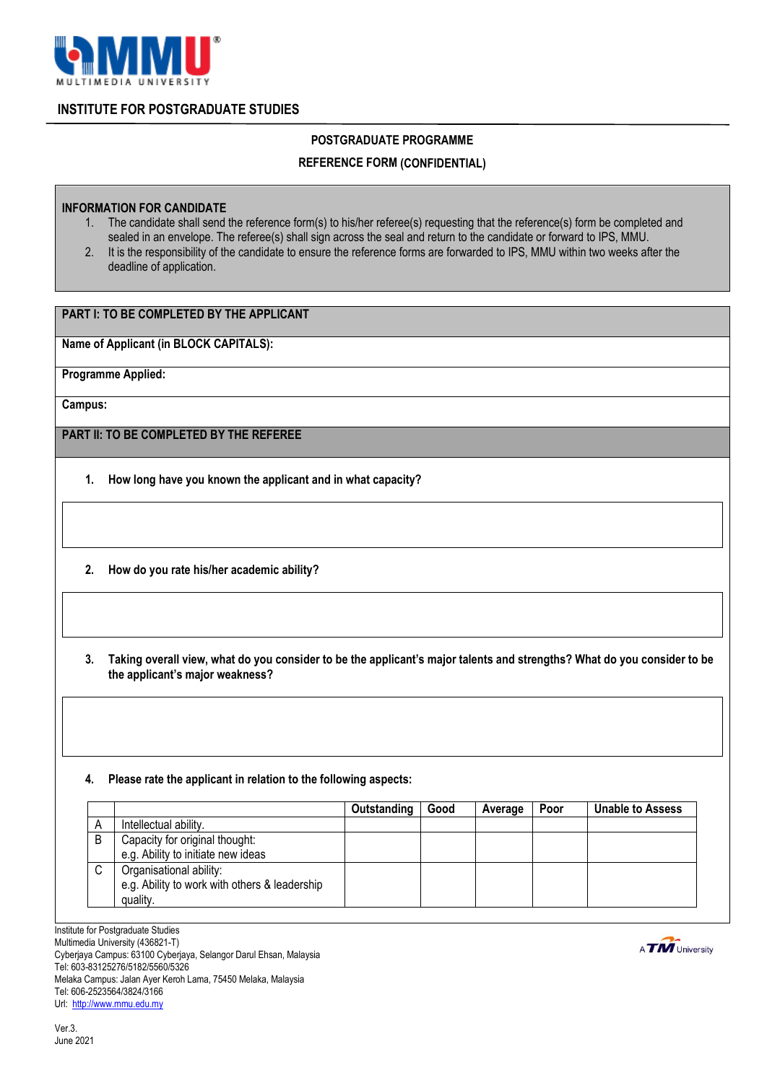

## **INSTITUTE FOR POSTGRADUATE STUDIES**

## **POSTGRADUATE PROGRAMME**

### **REFERENCE FORM (CONFIDENTIAL)**

#### **INFORMATION FOR CANDIDATE**

- 1. The candidate shall send the reference form(s) to his/her referee(s) requesting that the reference(s) form be completed and sealed in an envelope. The referee(s) shall sign across the seal and return to the candidate or forward to IPS, MMU.
- 2. It is the responsibility of the candidate to ensure the reference forms are forwarded to IPS, MMU within two weeks after the deadline of application.

# **PART I: TO BE COMPLETED BY THE APPLICANT**

**Name of Applicant (in BLOCK CAPITALS):**

**Programme Applied:**

**Campus:**

**PART II: TO BE COMPLETED BY THE REFEREE**

- **1. How long have you known the applicant and in what capacity?**
- **2. How do you rate his/her academic ability?**
- **3. Taking overall view, what do you consider to be the applicant's major talents and strengths? What do you consider to be the applicant's major weakness?**

#### **4. Please rate the applicant in relation to the following aspects:**

|             |                                                                                      | Outstanding | Good | Average | Poor | Unable to Assess |
|-------------|--------------------------------------------------------------------------------------|-------------|------|---------|------|------------------|
| А           | Intellectual ability.                                                                |             |      |         |      |                  |
| B           | Capacity for original thought:                                                       |             |      |         |      |                  |
|             | e.g. Ability to initiate new ideas                                                   |             |      |         |      |                  |
| $\sim$<br>◡ | Organisational ability:<br>e.g. Ability to work with others & leadership<br>quality. |             |      |         |      |                  |